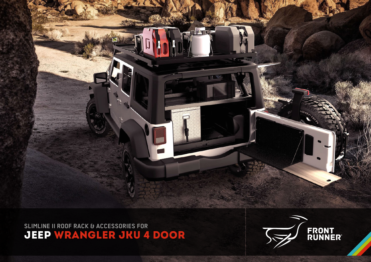# JEEP WRANGLER JKU 4 DOOR **SLIMLINE II ROOF RACK & ACCESSORIES FOR**